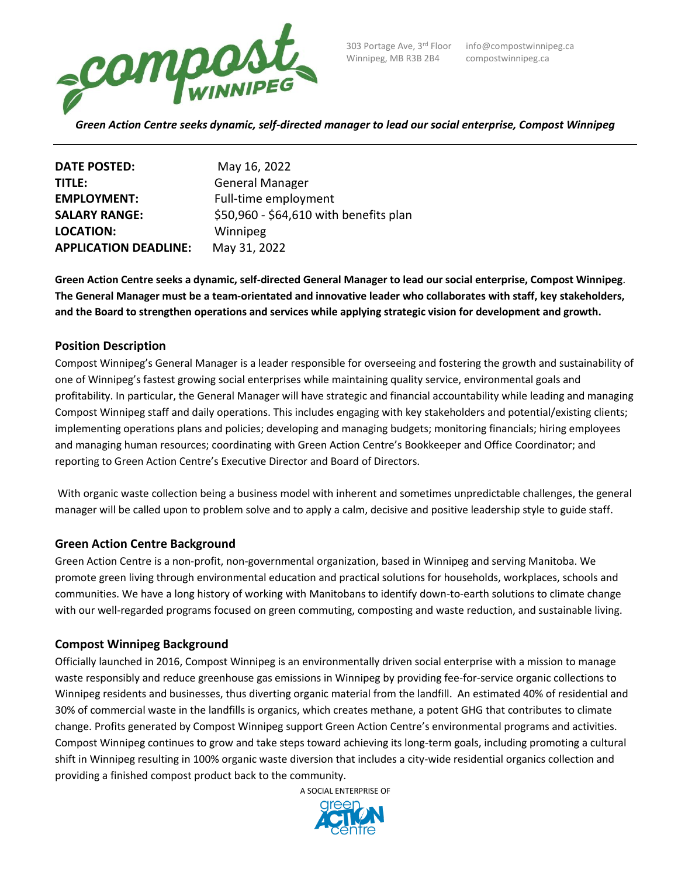

Winnipeg, MB R3B 2B4 compostwinnipeg.ca

| <b>DATE POSTED:</b>          | May 16, 2022                           |
|------------------------------|----------------------------------------|
| TITLE:                       | <b>General Manager</b>                 |
| <b>EMPLOYMENT:</b>           | Full-time employment                   |
| <b>SALARY RANGE:</b>         | \$50,960 - \$64,610 with benefits plan |
| <b>LOCATION:</b>             | Winnipeg                               |
| <b>APPLICATION DEADLINE:</b> | May 31, 2022                           |

**Green Action Centre seeks a dynamic, self-directed General Manager to lead our social enterprise, Compost Winnipeg**. **The General Manager must be a team-orientated and innovative leader who collaborates with staff, key stakeholders, and the Board to strengthen operations and services while applying strategic vision for development and growth.**

## **Position Description**

Compost Winnipeg's General Manager is a leader responsible for overseeing and fostering the growth and sustainability of one of Winnipeg's fastest growing social enterprises while maintaining quality service, environmental goals and profitability. In particular, the General Manager will have strategic and financial accountability while leading and managing Compost Winnipeg staff and daily operations. This includes engaging with key stakeholders and potential/existing clients; implementing operations plans and policies; developing and managing budgets; monitoring financials; hiring employees and managing human resources; coordinating with Green Action Centre's Bookkeeper and Office Coordinator; and reporting to Green Action Centre's Executive Director and Board of Directors.

With organic waste collection being a business model with inherent and sometimes unpredictable challenges, the general manager will be called upon to problem solve and to apply a calm, decisive and positive leadership style to guide staff.

### **Green Action Centre Background**

Green Action Centre is a non-profit, non-governmental organization, based in Winnipeg and serving Manitoba. We promote green living through environmental education and practical solutions for households, workplaces, schools and communities. We have a long history of working with Manitobans to identify down-to-earth solutions to climate change with our well-regarded programs focused on green commuting, composting and waste reduction, and sustainable living.

### **Compost Winnipeg Background**

Officially launched in 2016, Compost Winnipeg is an environmentally driven social enterprise with a mission to manage waste responsibly and reduce greenhouse gas emissions in Winnipeg by providing fee-for-service organic collections to Winnipeg residents and businesses, thus diverting organic material from the landfill. An estimated 40% of residential and 30% of commercial waste in the landfills is organics, which creates methane, a potent GHG that contributes to climate change. Profits generated by Compost Winnipeg support Green Action Centre's environmental programs and activities. Compost Winnipeg continues to grow and take steps toward achieving its long-term goals, including promoting a cultural shift in Winnipeg resulting in 100% organic waste diversion that includes a city-wide residential organics collection and providing a finished compost product back to the community.

A SOCIAL ENTERPRISE OF

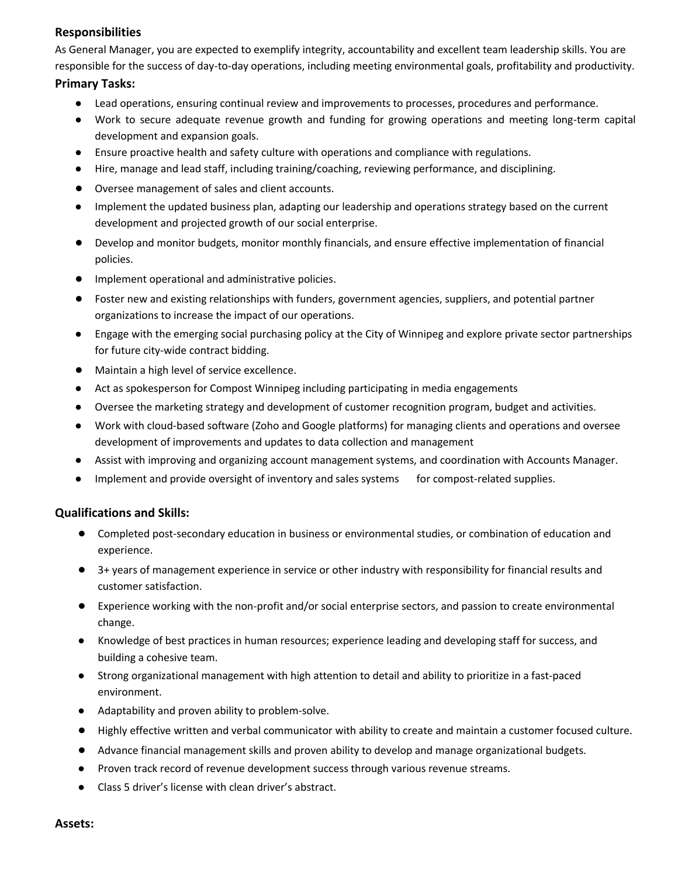# **Responsibilities**

As General Manager, you are expected to exemplify integrity, accountability and excellent team leadership skills. You are responsible for the success of day-to-day operations, including meeting environmental goals, profitability and productivity.

## **Primary Tasks:**

- Lead operations, ensuring continual review and improvements to processes, procedures and performance.
- Work to secure adequate revenue growth and funding for growing operations and meeting long-term capital development and expansion goals.
- Ensure proactive health and safety culture with operations and compliance with regulations.
- Hire, manage and lead staff, including training/coaching, reviewing performance, and disciplining.
- Oversee management of sales and client accounts.
- Implement the updated business plan, adapting our leadership and operations strategy based on the current development and projected growth of our social enterprise.
- Develop and monitor budgets, monitor monthly financials, and ensure effective implementation of financial policies.
- Implement operational and administrative policies.
- Foster new and existing relationships with funders, government agencies, suppliers, and potential partner organizations to increase the impact of our operations.
- Engage with the emerging social purchasing policy at the City of Winnipeg and explore private sector partnerships for future city-wide contract bidding.
- Maintain a high level of service excellence.
- Act as spokesperson for Compost Winnipeg including participating in media engagements
- Oversee the marketing strategy and development of customer recognition program, budget and activities.
- Work with cloud-based software (Zoho and Google platforms) for managing clients and operations and oversee development of improvements and updates to data collection and management
- Assist with improving and organizing account management systems, and coordination with Accounts Manager.
- Implement and provide oversight of inventory and sales systems for compost-related supplies.

# **Qualifications and Skills:**

- Completed post-secondary education in business or environmental studies, or combination of education and experience.
- 3+ years of management experience in service or other industry with responsibility for financial results and customer satisfaction.
- Experience working with the non-profit and/or social enterprise sectors, and passion to create environmental change.
- Knowledge of best practices in human resources; experience leading and developing staff for success, and building a cohesive team.
- Strong organizational management with high attention to detail and ability to prioritize in a fast-paced environment.
- Adaptability and proven ability to problem-solve.
- Highly effective written and verbal communicator with ability to create and maintain a customer focused culture.
- Advance financial management skills and proven ability to develop and manage organizational budgets.
- Proven track record of revenue development success through various revenue streams.
- Class 5 driver's license with clean driver's abstract.